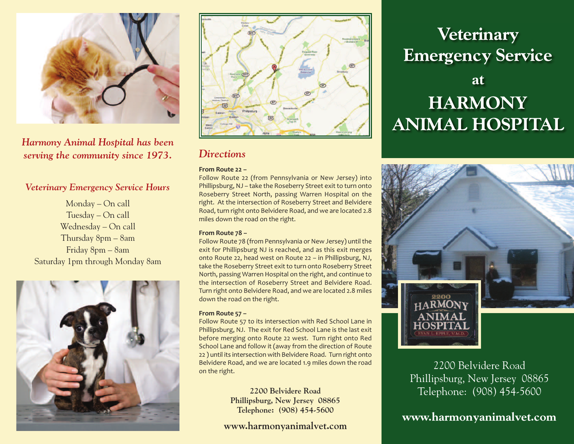

*Harmony Animal Hospital has been serving the community since 1973.*

### *Veterinary Emergency Service Hours*

Monday – On call Tuesday – On call Wednesday – On call Thursday 8pm – 8am Friday 8pm – 8am Saturday 1pm through Monday 8am





### *Directions*

### **From Route 22 –**

Follow Route 22 (from Pennsylvania or New Jersey) into Phillipsburg, NJ – take the Roseberry Street exit to turn onto Roseberry Street North, passing Warren Hospital on the right. At the intersection of Roseberry Street and Belvidere Road, turn right onto Belvidere Road, and we are located 2.8 miles down the road on the right.

#### **From Route 78 –**

Follow Route 78 (from Pennsylvania or New Jersey) until the exit for Phillipsburg NJ is reached, and as this exit merges onto Route 22, head west on Route 22 – in Phillipsburg, NJ, take the Roseberry Street exit to turn onto Roseberry Street North, passing Warren Hospital on the right, and continue to the intersection of Roseberry Street and Belvidere Road. Turn right onto Belvidere Road, and we are located 2.8 miles down the road on the right.

### **From Route 57 –**

Follow Route 57 to its intersection with Red School Lane in Phillipsburg, NJ. The exit for Red School Lane is the last exit before merging onto Route 22 west. Turn right onto Red School Lane and follow it (away from the direction of Route 22 ) until its intersection with Belvidere Road. Turn right onto Belvidere Road, and we are located 1.9 miles down the road on the right.

> **2200 Belvidere Road Phillipsburg, New Jersey 08865 Telephone: (908) 454-5600**

### **www.harmonyanimalvet.com**

# **Veterinary Emergency Service**

## **at HARMONY ANIMAL HOSPITAL**



2200 Belvidere Road Phillipsburg, New Jersey 08865 Telephone: (908) 454-5600

**www.harmonyanimalvet.com**